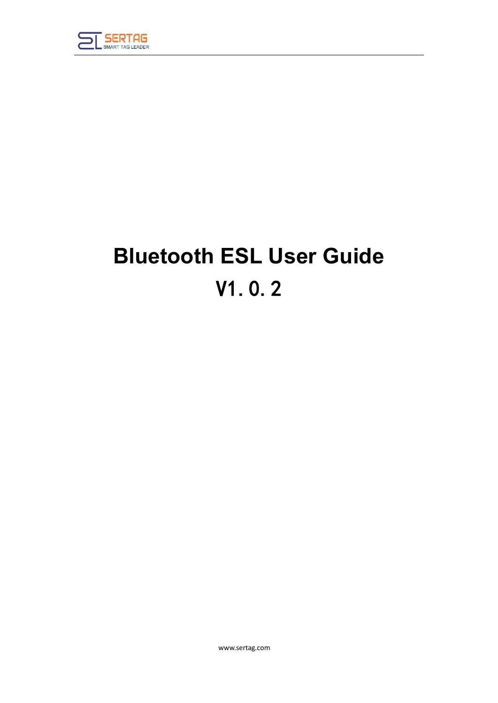

# **Bluetooth ESL User Guide** V1.0.2

www.sertag.com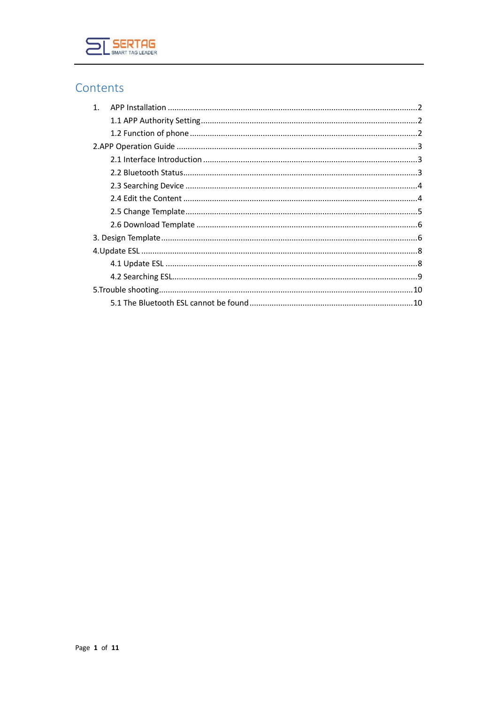

#### Contents

| $1_{-}$ |  |
|---------|--|
|         |  |
|         |  |
|         |  |
|         |  |
|         |  |
|         |  |
|         |  |
|         |  |
|         |  |
|         |  |
|         |  |
|         |  |
|         |  |
|         |  |
|         |  |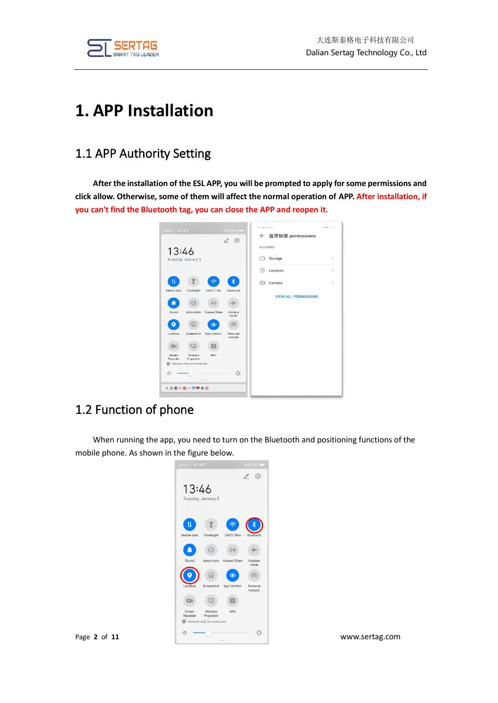

## <span id="page-2-0"></span>**1. APP Installation**

#### <span id="page-2-1"></span>1.1 APP Authority Setting

**After the installation of the ESL APP, you will be prompted to apply for some permissions and click allow. Otherwise, some of them will affect the normal operation of APP. After installation, if you can't find the Bluetooth tag, you can close the APP and reopen it.**



#### <span id="page-2-2"></span>1.2 Function of phone

When running the app, you need to turn on the Bluetooth and positioning functions of the mobile phone. As shown in the figure below.

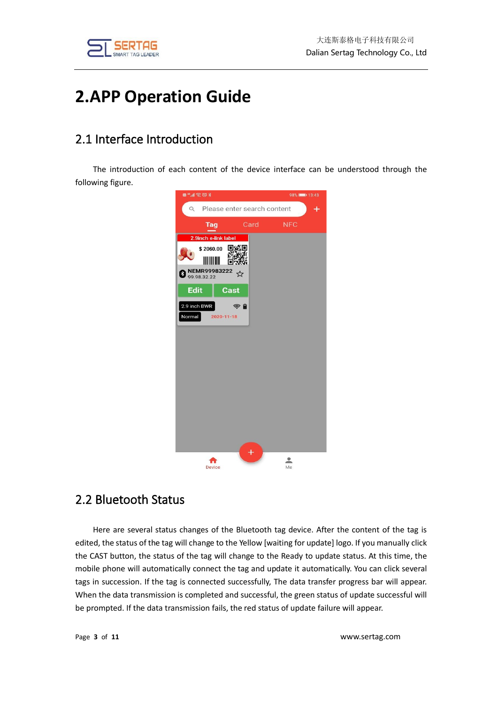



## <span id="page-3-0"></span>**2.APP Operation Guide**

#### <span id="page-3-1"></span>2.1 Interface Introduction

The introduction of each content of the device interface can be understood through the following figure.



#### <span id="page-3-2"></span>2.2 Bluetooth Status

Here are several status changes of the Bluetooth tag device. After the content of the tag is edited, the status of the tag will change to the Yellow [waiting for update] logo. If you manually click the CAST button, the status of the tag will change to the Ready to update status. At this time, the mobile phone will automatically connect the tag and update it automatically. You can click several tags in succession. If the tag is connected successfully, The data transfer progress bar will appear. When the data transmission is completed and successful, the green status of update successful will be prompted. If the data transmission fails, the red status of update failure will appear.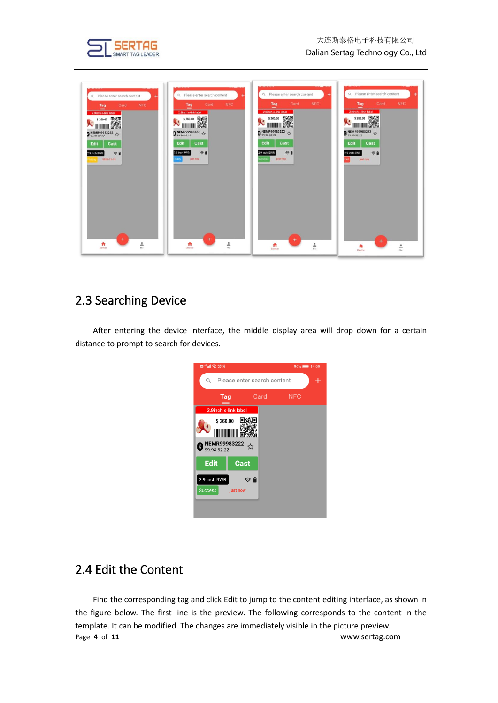

| Q Please enter search content<br><b>NFC</b><br>Card<br>Tag<br>2.9Inch e-link label<br><b>A</b> SECOND BASE<br><b>D</b> NEMR99983222<br>$\uparrow$<br>Edit<br>Cast<br> | Q. Please enter search content<br><b>NFC</b><br>Card<br>Tag<br>2.9inch e-link label<br>x<br><b>D</b> NEMR99983222 <del>1</del><br>Edit<br>Cast<br>空目<br>2.9 inch RWR<br>kady<br>just now | Q. Please enter search content<br><b>NFC</b><br>Card<br>Tag<br>2.9inch e-link label<br><b>S260.00 思想</b><br>火<br><b>D</b> NEMR99983222 \$<br>Edit<br>Cast<br>守皇<br>2.9 inch BWR<br>uccess<br><b>Just now</b> | Q. Please enter search content<br><b>NFC</b><br>Card<br>Tag<br>2.9inch e-link label<br>$\begin{picture}(120,110) \put(0,0){\line(1,0){10}} \put(15,0){\line(1,0){10}} \put(15,0){\line(1,0){10}} \put(15,0){\line(1,0){10}} \put(15,0){\line(1,0){10}} \put(15,0){\line(1,0){10}} \put(15,0){\line(1,0){10}} \put(15,0){\line(1,0){10}} \put(15,0){\line(1,0){10}} \put(15,0){\line(1,0){10}} \put(15,0){\line(1,0){10}} \put(15,0){\line$<br>٠.<br><b>D</b> NEMR99983222 $\uparrow$<br>Cast<br><b>Edit</b><br>学會<br>2.9 inch BWR<br>just now<br>w |
|-----------------------------------------------------------------------------------------------------------------------------------------------------------------------|------------------------------------------------------------------------------------------------------------------------------------------------------------------------------------------|--------------------------------------------------------------------------------------------------------------------------------------------------------------------------------------------------------------|----------------------------------------------------------------------------------------------------------------------------------------------------------------------------------------------------------------------------------------------------------------------------------------------------------------------------------------------------------------------------------------------------------------------------------------------------------------------------------------------------------------------------------------------------|
| ÷<br>$\frac{2}{\lambda}$<br>٠<br>Device                                                                                                                               | $\ddot{}$<br>$\frac{2}{3}$<br>n<br>Chrysleen                                                                                                                                             | $\pm$<br>∸<br>A<br>$M_{21}$<br>Devices.                                                                                                                                                                      | $\frac{9}{16}$<br>n<br>Device                                                                                                                                                                                                                                                                                                                                                                                                                                                                                                                      |

#### <span id="page-4-0"></span>2.3 Searching Device

After entering the device interface, the middle display area will drop down for a certain distance to prompt to search for devices.

| ■"" ≝ ぎ の ∦                    |                             |                             |            | 96% 14:09 |
|--------------------------------|-----------------------------|-----------------------------|------------|-----------|
| Q                              |                             | Please enter search content |            |           |
|                                | Tag                         | Card                        | <b>NFC</b> |           |
|                                | 2.9inch e-link label        |                             |            |           |
|                                | \$260.00                    |                             |            |           |
| ี่∤                            | NEMR99983222<br>99.98.32.22 |                             |            |           |
| <b>Edit</b>                    |                             | <b>Cast</b>                 |            |           |
| 2.9 inch BWR<br><b>Success</b> | just now                    | ଛ∎                          |            |           |
|                                |                             |                             |            |           |

#### <span id="page-4-1"></span>2.4 Edit the Content

Page **4** of **11** www.sertag.com Find the corresponding tag and click Edit to jump to the content editing interface, as shown in the figure below. The first line is the preview. The following corresponds to the content in the template. It can be modified. The changes are immediately visible in the picture preview.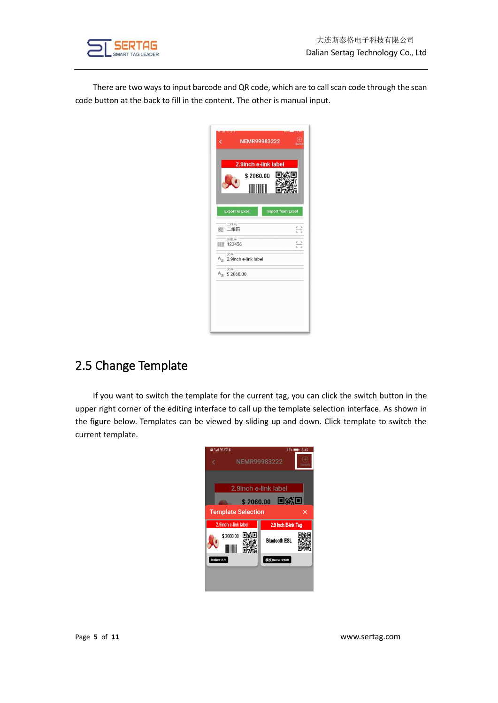

There are two ways to input barcode and QR code, which are to call scan code through the scan code button at the back to fill in the content. The other is manual input.

| <b>Export to Excel</b><br><b>Import from Excel</b><br>二维码<br>二维码<br>器<br>A<br>条形码 |
|-----------------------------------------------------------------------------------|
|                                                                                   |
|                                                                                   |
| E<br>123456                                                                       |
| 文本<br>A <sub>a</sub> 2.9inch e-link label                                         |
| 文本<br>$A_{\overline{d}}$<br>\$2060.00                                             |
|                                                                                   |

#### <span id="page-5-0"></span>2.5 Change Template

If you want to switch the template for the current tag, you can click the switch button in the upper right corner of the editing interface to call up the template selection interface. As shown in the figure below. Templates can be viewed by sliding up and down. Click template to switch the current template.

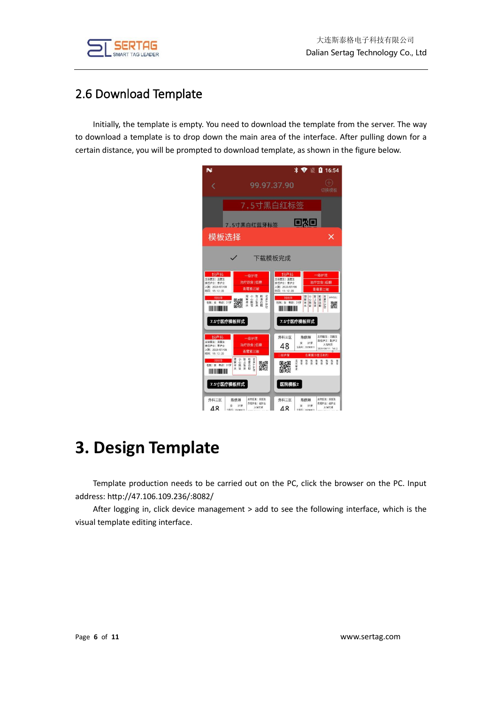

#### <span id="page-6-0"></span>2.6 Download Template

Initially, the template is empty. You need to download the template from the server. The way to download a template is to drop down the main area of the interface. After pulling down for a certain distance, you will be prompted to download template, as shown in the figure below.



## <span id="page-6-1"></span>**3. Design Template**

Template production needs to be carried out on the PC, click the browser on the PC. Input address: http://47.106.109.236/:8082/

After logging in, click device management > add to see the following interface, which is the visual template editing interface.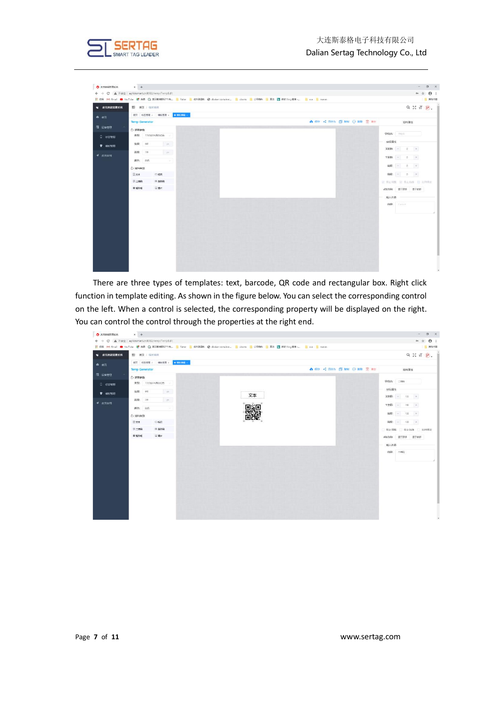



There are three types of templates: text, barcode, QR code and rectangular box. Right click function in template editing. As shown in the figure below. You can select the corresponding control on the left. When a control is selected, the corresponding property will be displayed on the right. You can control the control through the properties at the right end.

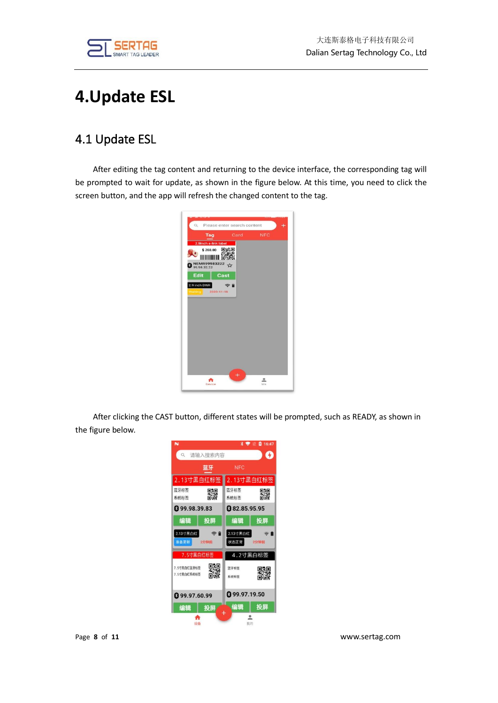

## <span id="page-8-0"></span>**4.Update ESL**

### <span id="page-8-1"></span>4.1 Update ESL

After editing the tag content and returning to the device interface, the corresponding tag will be prompted to wait for update, as shown in the figure below. At this time, you need to click the screen button, and the app will refresh the changed content to the tag.



After clicking the CAST button, different states will be prompted, such as READY, as shown in the figure below.

| N                          |                                |                      | 16:47<br>ø |
|----------------------------|--------------------------------|----------------------|------------|
| $\alpha$                   | 请输入搜索内容                        |                      | O          |
|                            | 蓝牙                             | <b>NFC</b>           |            |
|                            | 2.13寸黑白红标签                     | 2.13寸黑白红标签           |            |
| 蓝牙标签<br>系统标签               | に、<br>高級<br>回復                 | 蓝牙标签<br>系统标签         | 驟          |
| <b>@</b> 99.98.39.83       |                                | <b>@82.85.95.95</b>  |            |
| 编辑                         | 投屏                             | 编辑                   | 投屏         |
| 2.13寸黑白红<br>准备更新           | $\widehat{\mathbb{R}}$<br>2分钟前 | 2.13寸黑白红<br>状态正常     | 2分钟前       |
|                            | 7.5寸黑白红标签                      | 4.2寸黑白标签             |            |
| 7.5寸黑白红蓝牙标签<br>7.5寸黑白红系统标签 | ogo                            | 蓝牙标签<br>系统标签         | 饕          |
| <b>@</b> 99.97.60.99       |                                | <b>@</b> 99.97.19.50 |            |
| 编辑                         | 投屏                             | 编辑                   | 投屏         |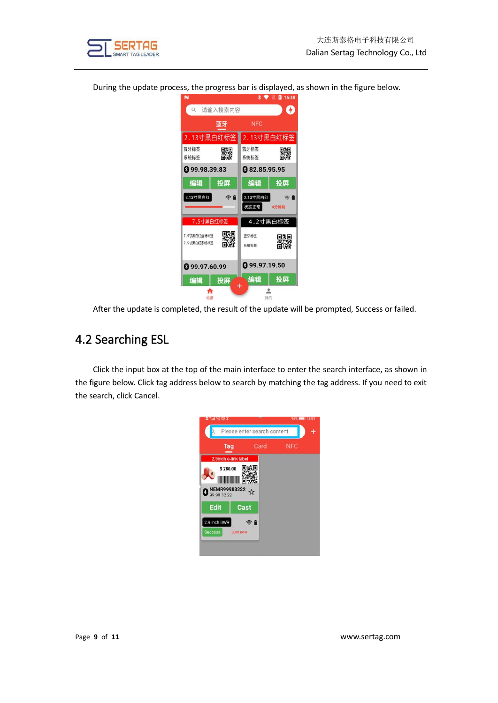

During the update process, the progress bar is displayed, as shown in the figure below.



After the update is completed, the result of the update will be prompted, Success or failed.

#### <span id="page-9-0"></span>4.2 Searching ESL

Click the input box at the top of the main interface to enter the search interface, as shown in the figure below. Click tag address below to search by matching the tag address. If you need to exit the search, click Cancel.